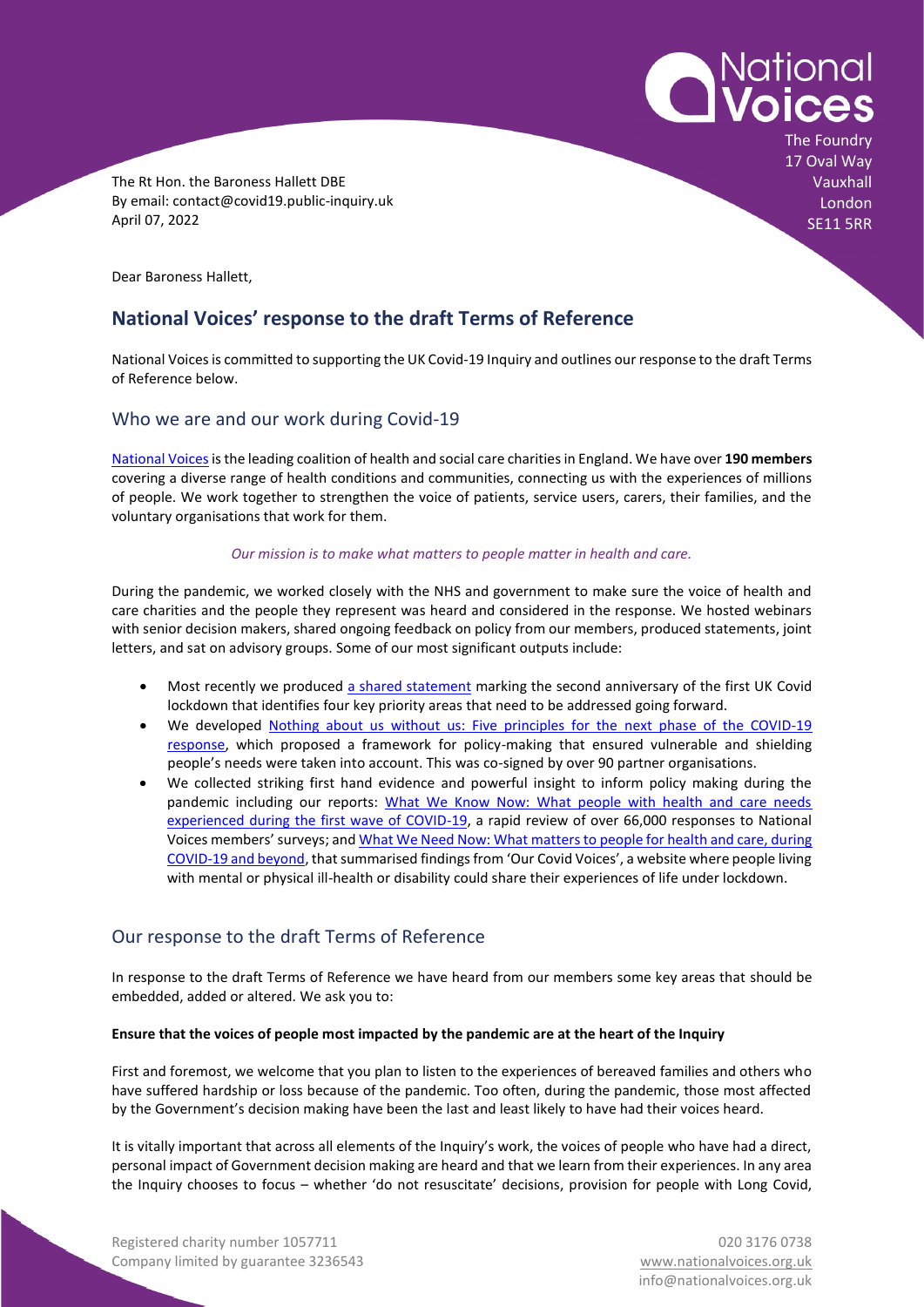

Registered charity number 1057711 **Department 1057711** 020 3176 0738 Company limited by guarantee 3236543 [www.nationalvoices.org.uk](http://www.nationalvoices.org.uk/)

The Rt Hon. the Baroness Hallett DBE By email: contact@covid19.public-inquiry.uk April 07, 2022

Dear Baroness Hallett,

# **National Voices' response to the draft Terms of Reference**

National Voices is committed to supporting the UK Covid-19 Inquiry and outlines our response to the draft Terms of Reference below.

# Who we are and our work during Covid-19

[National Voicesi](https://www.nationalvoices.org.uk/about-us)s the leading coalition of health and social care charities in England. We have over **190 members** covering a diverse range of health conditions and communities, connecting us with the experiences of millions of people. We work together to strengthen the voice of patients, service users, carers, their families, and the voluntary organisations that work for them.

# *Our mission is to make what matters to people matter in health and care.*

During the pandemic, we worked closely with the NHS and government to make sure the voice of health and care charities and the people they represent was heard and considered in the response. We hosted webinars with senior decision makers, shared ongoing feedback on policy from our members, produced statements, joint letters, and sat on advisory groups. Some of our most significant outputs include:

- Most recently we produced [a shared statement](https://www.nationalvoices.org.uk/publications/our-publications/shared-statement-marking-second-anniversary-first-uk-covid-19-lockdown) marking the second anniversary of the first UK Covid lockdown that identifies four key priority areas that need to be addressed going forward.
- We developed Nothing about us without us: Five principles for the next phase of the COVID-19 [response,](https://www.nationalvoices.org.uk/publications/our-publications/nothing-about-us-without-us) which proposed a framework for policy-making that ensured vulnerable and shielding people's needs were taken into account. This was co-signed by over 90 partner organisations.
- We collected striking first hand evidence and powerful insight to inform policy making during the pandemic including our reports: What We Know Now: What people with health and care needs [experienced during the first wave of COVID-19,](https://www.nationalvoices.org.uk/publications/our-publications/what-we-know-now) a rapid review of over 66,000 responses to National Voices members' surveys; an[d What We Need Now: What matters to people for health and care, during](https://www.nationalvoices.org.uk/what%20we%20need%20now)  [COVID-19 and beyond](https://www.nationalvoices.org.uk/what%20we%20need%20now), that summarised findings from 'Our Covid Voices', a website where people living with mental or physical ill-health or disability could share their experiences of life under lockdown.

# Our response to the draft Terms of Reference

In response to the draft Terms of Reference we have heard from our members some key areas that should be embedded, added or altered. We ask you to:

# **Ensure that the voices of people most impacted by the pandemic are at the heart of the Inquiry**

First and foremost, we welcome that you plan to listen to the experiences of bereaved families and others who have suffered hardship or loss because of the pandemic. Too often, during the pandemic, those most affected by the Government's decision making have been the last and least likely to have had their voices heard.

It is vitally important that across all elements of the Inquiry's work, the voices of people who have had a direct, personal impact of Government decision making are heard and that we learn from their experiences. In any area the Inquiry chooses to focus – whether 'do not resuscitate' decisions, provision for people with Long Covid,

National<br>**Voices** The Foundry 17 Oval Way **Vauxhall** London SE11 5RR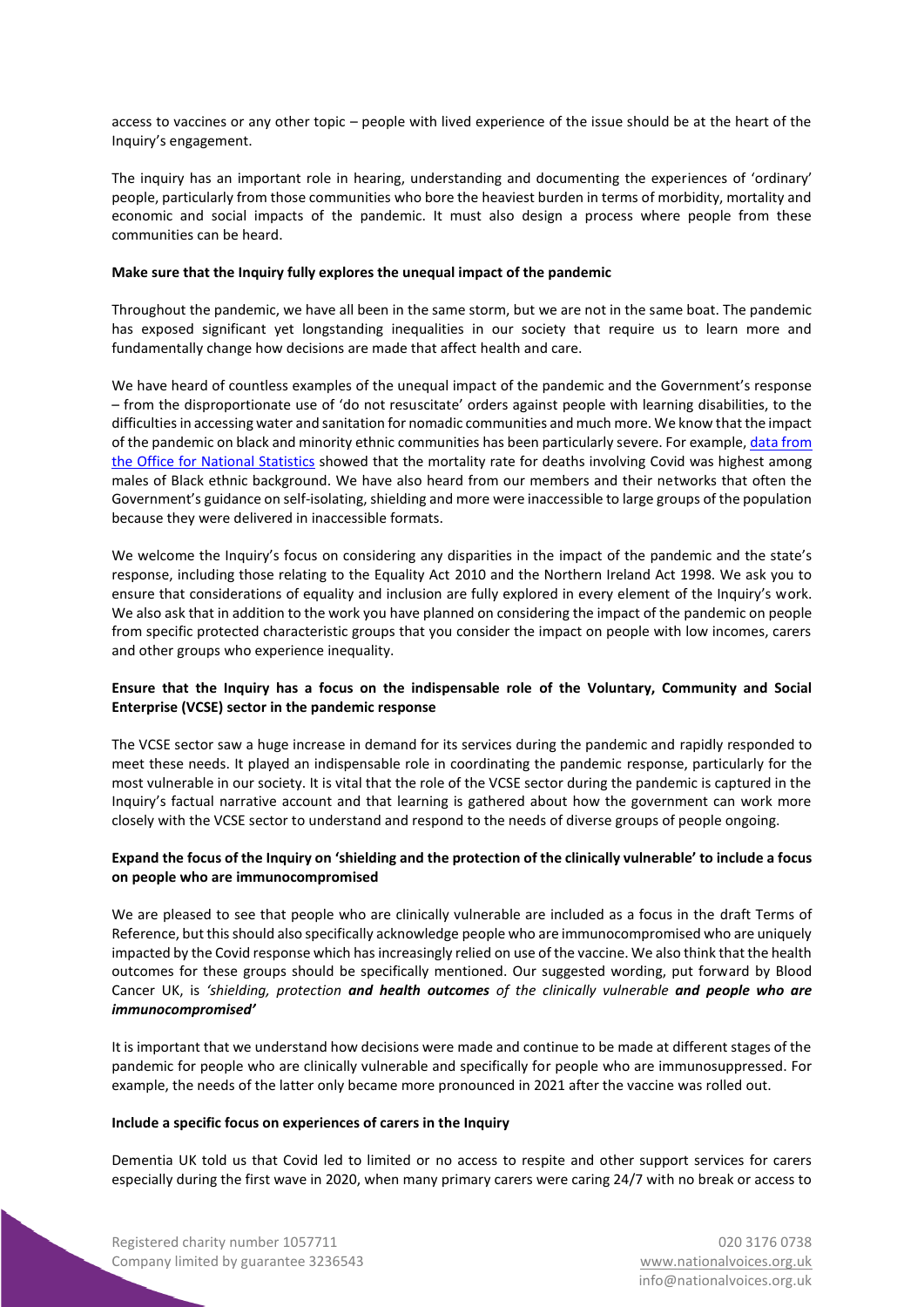access to vaccines or any other topic – people with lived experience of the issue should be at the heart of the Inquiry's engagement.

The inquiry has an important role in hearing, understanding and documenting the experiences of 'ordinary' people, particularly from those communities who bore the heaviest burden in terms of morbidity, mortality and economic and social impacts of the pandemic. It must also design a process where people from these communities can be heard.

#### **Make sure that the Inquiry fully explores the unequal impact of the pandemic**

Throughout the pandemic, we have all been in the same storm, but we are not in the same boat. The pandemic has exposed significant yet longstanding inequalities in our society that require us to learn more and fundamentally change how decisions are made that affect health and care.

We have heard of countless examples of the unequal impact of the pandemic and the Government's response – from the disproportionate use of 'do not resuscitate' orders against people with learning disabilities, to the difficulties in accessing water and sanitation for nomadic communities and much more. We know that the impact of the pandemic on black and minority ethnic communities has been particularly severe. For example[, data from](https://www.ons.gov.uk/peoplepopulationandcommunity/birthsdeathsandmarriages/deaths/articles/coronaviruscovid19relateddeathsbyethnicgroupenglandandwales/2march2020to15may2020)  [the Office for National Statistics](https://www.ons.gov.uk/peoplepopulationandcommunity/birthsdeathsandmarriages/deaths/articles/coronaviruscovid19relateddeathsbyethnicgroupenglandandwales/2march2020to15may2020) showed that the mortality rate for deaths involving Covid was highest among males of Black ethnic background. We have also heard from our members and their networks that often the Government's guidance on self-isolating, shielding and more were inaccessible to large groups of the population because they were delivered in inaccessible formats.

We welcome the Inquiry's focus on considering any disparities in the impact of the pandemic and the state's response, including those relating to the Equality Act 2010 and the Northern Ireland Act 1998. We ask you to ensure that considerations of equality and inclusion are fully explored in every element of the Inquiry's work. We also ask that in addition to the work you have planned on considering the impact of the pandemic on people from specific protected characteristic groups that you consider the impact on people with low incomes, carers and other groups who experience inequality.

# **Ensure that the Inquiry has a focus on the indispensable role of the Voluntary, Community and Social Enterprise (VCSE) sector in the pandemic response**

The VCSE sector saw a huge increase in demand for its services during the pandemic and rapidly responded to meet these needs. It played an indispensable role in coordinating the pandemic response, particularly for the most vulnerable in our society. It is vital that the role of the VCSE sector during the pandemic is captured in the Inquiry's factual narrative account and that learning is gathered about how the government can work more closely with the VCSE sector to understand and respond to the needs of diverse groups of people ongoing.

# **Expand the focus of the Inquiry on 'shielding and the protection of the clinically vulnerable' to include a focus on people who are immunocompromised**

We are pleased to see that people who are clinically vulnerable are included as a focus in the draft Terms of Reference, but this should also specifically acknowledge people who are immunocompromised who are uniquely impacted by the Covid response which has increasingly relied on use of the vaccine. We also think that the health outcomes for these groups should be specifically mentioned. Our suggested wording, put forward by Blood Cancer UK, is *'shielding, protection and health outcomes of the clinically vulnerable and people who are immunocompromised'*

It is important that we understand how decisions were made and continue to be made at different stages of the pandemic for people who are clinically vulnerable and specifically for people who are immunosuppressed. For example, the needs of the latter only became more pronounced in 2021 after the vaccine was rolled out.

#### **Include a specific focus on experiences of carers in the Inquiry**

Dementia UK told us that Covid led to limited or no access to respite and other support services for carers especially during the first wave in 2020, when many primary carers were caring 24/7 with no break or access to

Registered charity number 1057711 020 3176 0738 Company limited by guarantee 3236543 [www.nationalvoices.org.uk](http://www.nationalvoices.org.uk/)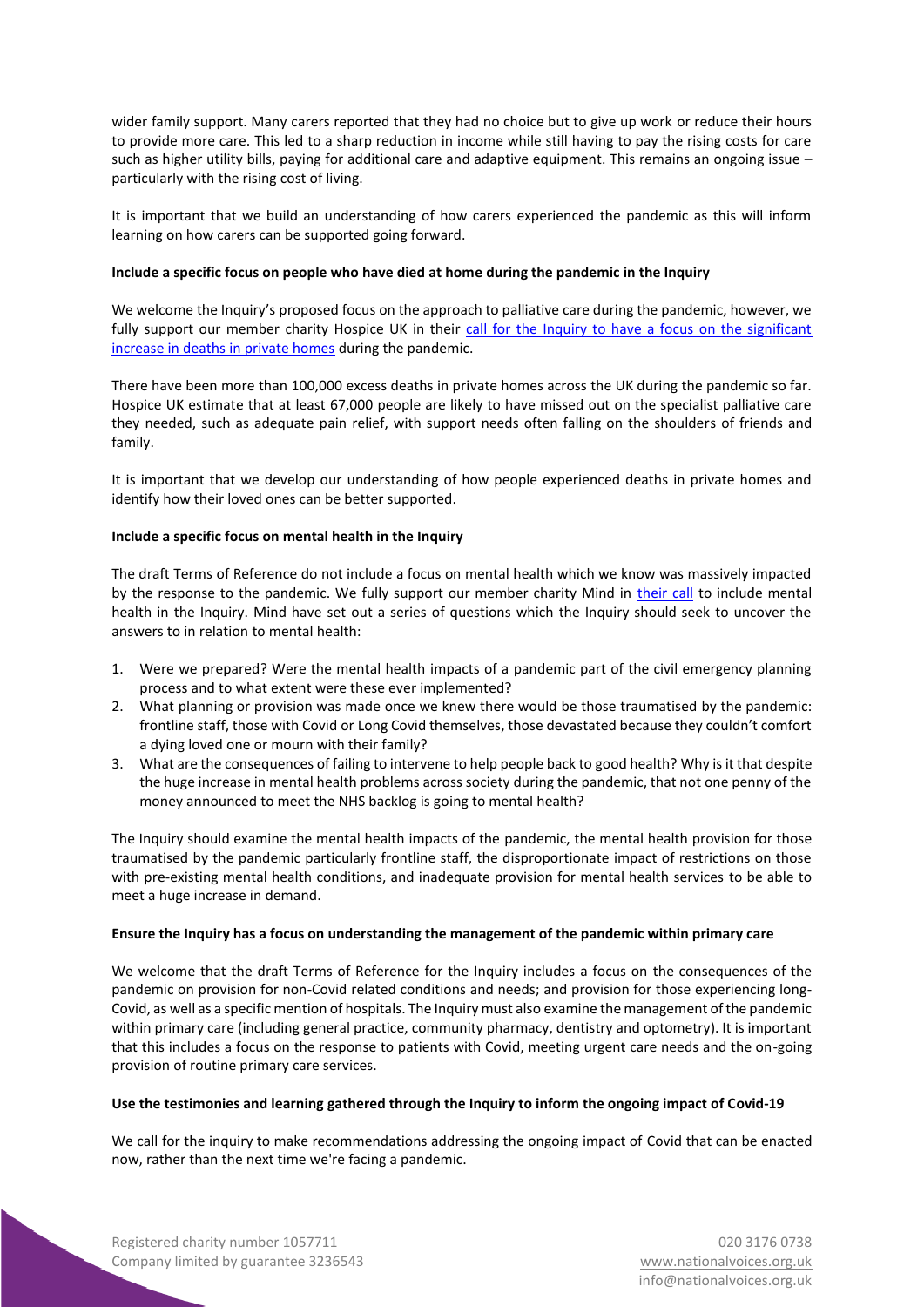wider family support. Many carers reported that they had no choice but to give up work or reduce their hours to provide more care. This led to a sharp reduction in income while still having to pay the rising costs for care such as higher utility bills, paying for additional care and adaptive equipment. This remains an ongoing issue – particularly with the rising cost of living.

It is important that we build an understanding of how carers experienced the pandemic as this will inform learning on how carers can be supported going forward.

#### **Include a specific focus on people who have died at home during the pandemic in the Inquiry**

We welcome the Inquiry's proposed focus on the approach to palliative care during the pandemic, however, we fully support our member charity Hospice UK in their call for the Inquiry to have a focus on the significant [increase in deaths in private homes](https://hukstage-bucket.s3.eu-west-2.amazonaws.com/s3fs-public/2022-04/Letter%20to%20Baroness%20Hallett%20from%20stakeholders.pdf) during the pandemic.

There have been more than 100,000 excess deaths in private homes across the UK during the pandemic so far. Hospice UK estimate that at least 67,000 people are likely to have missed out on the specialist palliative care they needed, such as adequate pain relief, with support needs often falling on the shoulders of friends and family.

It is important that we develop our understanding of how people experienced deaths in private homes and identify how their loved ones can be better supported.

# **Include a specific focus on mental health in the Inquiry**

The draft Terms of Reference do not include a focus on mental health which we know was massively impacted by the response to the pandemic. We fully support our member charity Mind in [their call](https://www.mind.org.uk/news-campaigns/news/covid-inquiry-risks-missing-the-mark-if-it-omits-mental-health/) to include mental health in the Inquiry. Mind have set out a series of questions which the Inquiry should seek to uncover the answers to in relation to mental health:

- 1. Were we prepared? Were the mental health impacts of a pandemic part of the civil emergency planning process and to what extent were these ever implemented?
- 2. What planning or provision was made once we knew there would be those traumatised by the pandemic: frontline staff, those with Covid or Long Covid themselves, those devastated because they couldn't comfort a dying loved one or mourn with their family?
- 3. What are the consequences of failing to intervene to help people back to good health? Why is it that despite the huge increase in mental health problems across society during the pandemic, that not one penny of the money announced to meet the NHS backlog is going to mental health?

The Inquiry should examine the mental health impacts of the pandemic, the mental health provision for those traumatised by the pandemic particularly frontline staff, the disproportionate impact of restrictions on those with pre-existing mental health conditions, and inadequate provision for mental health services to be able to meet a huge increase in demand.

#### **Ensure the Inquiry has a focus on understanding the management of the pandemic within primary care**

We welcome that the draft Terms of Reference for the Inquiry includes a focus on the consequences of the pandemic on provision for non-Covid related conditions and needs; and provision for those experiencing long-Covid, as well as a specific mention of hospitals. The Inquiry must also examine the management of the pandemic within primary care (including general practice, community pharmacy, dentistry and optometry). It is important that this includes a focus on the response to patients with Covid, meeting urgent care needs and the on-going provision of routine primary care services.

# **Use the testimonies and learning gathered through the Inquiry to inform the ongoing impact of Covid-19**

We call for the inquiry to make recommendations addressing the ongoing impact of Covid that can be enacted now, rather than the next time we're facing a pandemic.

Registered charity number 1057711 020 3176 0738 Company limited by guarantee 3236543 [www.nationalvoices.org.uk](http://www.nationalvoices.org.uk/)